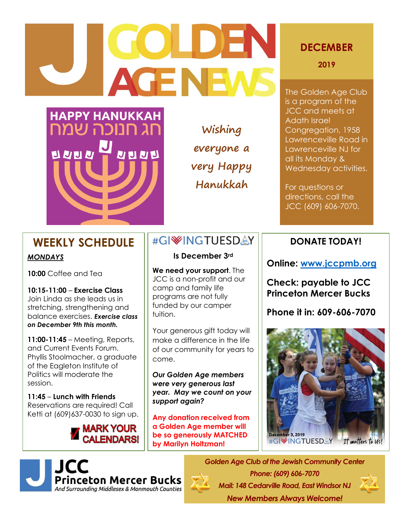# **GOLDEN AGENEWS**



**Wishing everyone a very Happy Hanukkah**

# **DECEMBER**

**2019**

The Golden Age Club is a program of the JCC and meets at Adath Israel Congregation, 1958 Lawrenceville Road in Lawrenceville NJ for all its Monday & Wednesday activities.

For questions or directions, call the JCC (609) 606-7070.

# **WEEKLY SCHEDULE**

# *MONDAYS*

**10:00** Coffee and Tea

**10:15-11:00** – **Exercise Class** Join Linda as she leads us in stretching, strengthening and balance exercises. *Exercise class on December 9th this month.* 

**11:00-11:45** – Meeting, Reports, and Current Events Forum. Phyllis Stoolmacher, a graduate of the Eagleton Institute of Politics will moderate the session.

**11:45** – **Lunch with Friends** Reservations are required! Call Ketti at (609)637-0030 to sign up. İ



# #GIWINGTUESDAY

**Is December 3rd**

**We need your support**. The JCC is a non-profit and our camp and family life programs are not fully funded by our camper tuition.

Your generous gift today will make a difference in the life of our community for years to come.

*Our Golden Age members were very generous last year. May we count on your support again?*

**Any donation received from a Golden Age member will be so generously MATCHED by Marilyn Holtzman!**

# **DONATE TODAY!**

**Online: [www.jccpmb.org](http://www.jccpmb.org/)**

**Check: payable to JCC Princeton Mercer Bucks**

**Phone it in: 609-606-7070**





*Golden Age Club of the Jewish Community Center Phone: (609) 606-7070 Mail: 148 Cedarville Road, East Windsor NJ New Members Always Welcome!*